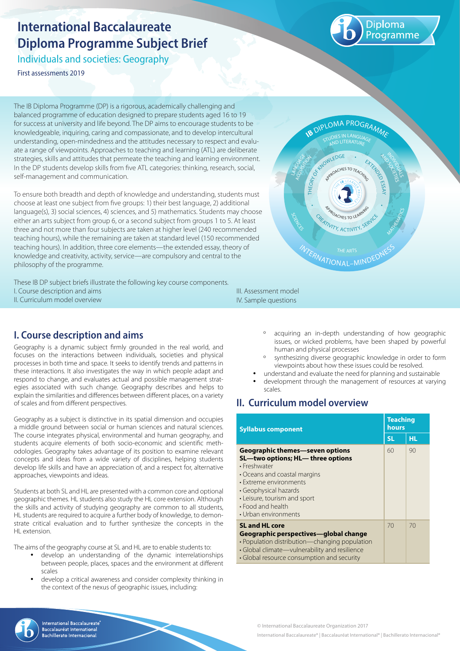# **International Baccalaureate Diploma Programme Subject Brief**

Individuals and societies: Geography

First assessments 2019

Diploma rogramme

The IB Diploma Programme (DP) is a rigorous, academically challenging and balanced programme of education designed to prepare students aged 16 to 19 for success at university and life beyond. The DP aims to encourage students to be knowledgeable, inquiring, caring and compassionate, and to develop intercultural understanding, open-mindedness and the attitudes necessary to respect and evaluate a range of viewpoints. Approaches to teaching and learning (ATL) are deliberate strategies, skills and attitudes that permeate the teaching and learning environment. In the DP students develop skills from five ATL categories: thinking, research, social, self-management and communication.

To ensure both breadth and depth of knowledge and understanding, students must choose at least one subject from five groups: 1) their best language, 2) additional language(s), 3) social sciences, 4) sciences, and 5) mathematics. Students may choose either an arts subject from group 6, or a second subject from groups 1 to 5. At least three and not more than four subjects are taken at higher level (240 recommended teaching hours), while the remaining are taken at standard level (150 recommended teaching hours). In addition, three core elements—the extended essay, theory of knowledge and creativity, activity, service—are compulsory and central to the philosophy of the programme.

These IB DP subject briefs illustrate the following key course components. I. Course description and aims II. Curriculum model overview

# **I. Course description and aims**

Geography is a dynamic subject firmly grounded in the real world, and focuses on the interactions between individuals, societies and physical processes in both time and space. It seeks to identify trends and patterns in these interactions. It also investigates the way in which people adapt and respond to change, and evaluates actual and possible management strategies associated with such change. Geography describes and helps to explain the similarities and differences between different places, on a variety of scales and from different perspectives.

Geography as a subject is distinctive in its spatial dimension and occupies a middle ground between social or human sciences and natural sciences. The course integrates physical, environmental and human geography, and students acquire elements of both socio-economic and scientific methodologies. Geography takes advantage of its position to examine relevant concepts and ideas from a wide variety of disciplines, helping students develop life skills and have an appreciation of, and a respect for, alternative approaches, viewpoints and ideas.

Students at both SL and HL are presented with a common core and optional geographic themes. HL students also study the HL core extension. Although the skills and activity of studying geography are common to all students, HL students are required to acquire a further body of knowledge, to demonstrate critical evaluation and to further synthesize the concepts in the HL extension

The aims of the geography course at SL and HL are to enable students to:

- develop an understanding of the dynamic interrelationships between people, places, spaces and the environment at different scales
- develop a critical awareness and consider complexity thinking in the context of the nexus of geographic issues, including:



III. Assessment model IV. Sample questions

- º acquiring an in-depth understanding of how geographic issues, or wicked problems, have been shaped by powerful human and physical processes
- º synthesizing diverse geographic knowledge in order to form viewpoints about how these issues could be resolved.
- understand and evaluate the need for planning and sustainable
- development through the management of resources at varying scales.

# **II. Curriculum model overview**

| <b>Syllabus component</b>                                                                                                                                                                                                                           |           | <b>Teaching</b><br>hours |  |
|-----------------------------------------------------------------------------------------------------------------------------------------------------------------------------------------------------------------------------------------------------|-----------|--------------------------|--|
|                                                                                                                                                                                                                                                     | <b>SL</b> | <b>HL</b>                |  |
| Geographic themes—seven options<br>SL-two options; HL-three options<br>• Freshwater<br>• Oceans and coastal margins<br>• Extreme environments<br>• Geophysical hazards<br>• Leisure, tourism and sport<br>• Food and health<br>• Urban environments | 60        | 90                       |  |
| <b>SL and HL core</b><br>Geographic perspectives—global change<br>• Population distribution-changing population<br>· Global climate-vulnerability and resilience<br>• Global resource consumption and security                                      | 70        | 70                       |  |

© International Baccalaureate Organization 2017



**International Baccalaureate** Baccalauréat International chillerato Internacional